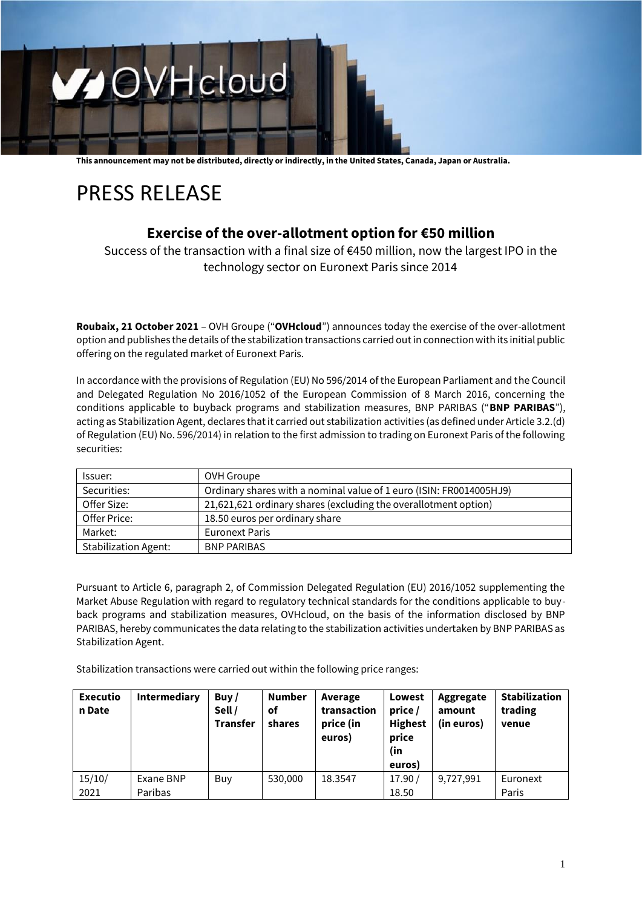

**This announcement may not be distributed, directly or indirectly, in the United States, Canada, Japan or Australia.**

# PRESS RELEASE

## **Exercise of the over-allotment option for €50 million**

Success of the transaction with a final size of €450 million, now the largest IPO in the technology sector on Euronext Paris since 2014

**Roubaix, 21 October 2021** – OVH Groupe ("**OVHcloud**") announces today the exercise of the over-allotment option and publishes the details of the stabilization transactions carried out in connection with its initial public offering on the regulated market of Euronext Paris.

In accordance with the provisions of Regulation (EU) No 596/2014 of the European Parliament and the Council and Delegated Regulation No 2016/1052 of the European Commission of 8 March 2016, concerning the conditions applicable to buyback programs and stabilization measures, BNP PARIBAS ("**BNP PARIBAS**"), acting as Stabilization Agent, declares that it carried out stabilization activities (as defined under Article 3.2.(d) of Regulation (EU) No. 596/2014) in relation to the first admission to trading on Euronext Paris of the following securities:

| Issuer:                     | OVH Groupe                                                          |  |  |  |
|-----------------------------|---------------------------------------------------------------------|--|--|--|
| Securities:                 | Ordinary shares with a nominal value of 1 euro (ISIN: FR0014005HJ9) |  |  |  |
| Offer Size:                 | 21,621,621 ordinary shares (excluding the overallotment option)     |  |  |  |
| Offer Price:                | 18.50 euros per ordinary share                                      |  |  |  |
| Market:                     | <b>Euronext Paris</b>                                               |  |  |  |
| <b>Stabilization Agent:</b> | <b>BNP PARIBAS</b>                                                  |  |  |  |

Pursuant to Article 6, paragraph 2, of Commission Delegated Regulation (EU) 2016/1052 supplementing the Market Abuse Regulation with regard to regulatory technical standards for the conditions applicable to buyback programs and stabilization measures, OVHcloud, on the basis of the information disclosed by BNP PARIBAS, hereby communicates the data relating to the stabilization activities undertaken by BNP PARIBAS as Stabilization Agent.

Stabilization transactions were carried out within the following price ranges:

| <b>Executio</b><br>n Date | <b>Intermediary</b> | Buy $/$<br>Sell /<br><b>Transfer</b> | <b>Number</b><br><b>of</b><br>shares | Average<br>transaction<br>price (in<br>euros) | Lowest<br>price /<br><b>Highest</b><br>price<br>(in<br>euros) | Aggregate<br>amount<br>(in euros) | <b>Stabilization</b><br>trading<br>venue |
|---------------------------|---------------------|--------------------------------------|--------------------------------------|-----------------------------------------------|---------------------------------------------------------------|-----------------------------------|------------------------------------------|
| 15/10/                    | Exane BNP           | Buy                                  | 530,000                              | 18.3547                                       | 17.90/                                                        | 9,727,991                         | Euronext                                 |
| 2021                      | Paribas             |                                      |                                      |                                               | 18.50                                                         |                                   | Paris                                    |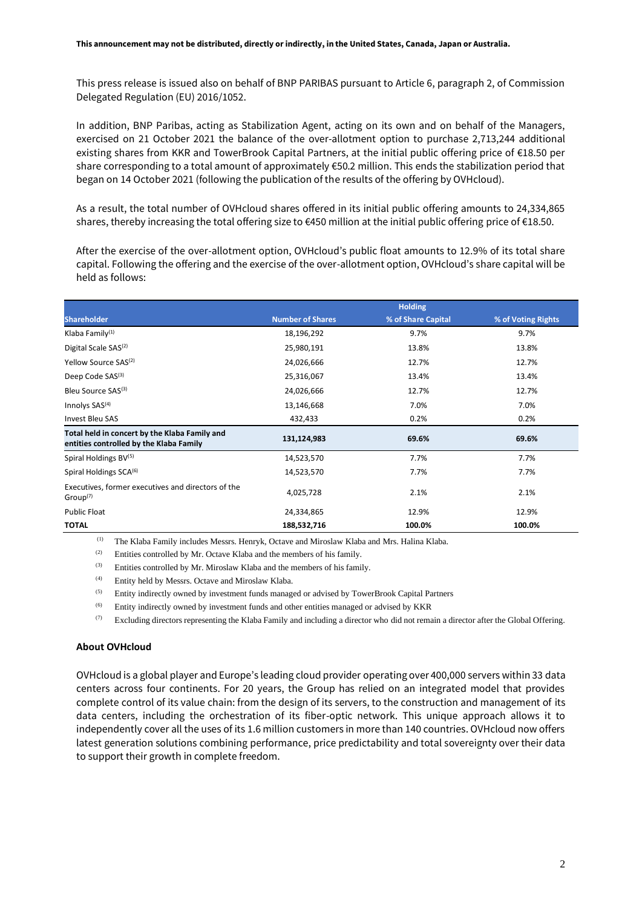This press release is issued also on behalf of BNP PARIBAS pursuant to Article 6, paragraph 2, of Commission Delegated Regulation (EU) 2016/1052.

In addition, BNP Paribas, acting as Stabilization Agent, acting on its own and on behalf of the Managers, exercised on 21 October 2021 the balance of the over-allotment option to purchase 2,713,244 additional existing shares from KKR and TowerBrook Capital Partners, at the initial public offering price of €18.50 per share corresponding to a total amount of approximately €50.2 million. This ends the stabilization period that began on 14 October 2021 (following the publication of the results of the offering by OVHcloud).

As a result, the total number of OVHcloud shares offered in its initial public offering amounts to 24,334,865 shares, thereby increasing the total offering size to €450 million at the initial public offering price of €18.50.

After the exercise of the over-allotment option, OVHcloud's public float amounts to 12.9% of its total share capital. Following the offering and the exercise of the over-allotment option, OVHcloud's share capital will be held as follows:

|                                                                                          |                         | <b>Holding</b>     |                    |
|------------------------------------------------------------------------------------------|-------------------------|--------------------|--------------------|
| <b>Shareholder</b>                                                                       | <b>Number of Shares</b> | % of Share Capital | % of Voting Rights |
| Klaba Family <sup>(1)</sup>                                                              | 18,196,292              | 9.7%               | 9.7%               |
| Digital Scale SAS <sup>(2)</sup>                                                         | 25,980,191              | 13.8%              | 13.8%              |
| Yellow Source SAS <sup>(2)</sup>                                                         | 24,026,666              | 12.7%              | 12.7%              |
| Deep Code SAS <sup>(3)</sup>                                                             | 25,316,067              | 13.4%              | 13.4%              |
| Bleu Source SAS(3)                                                                       | 24,026,666              | 12.7%              | 12.7%              |
| Innolys $SAS(4)$                                                                         | 13,146,668              | 7.0%               | 7.0%               |
| Invest Bleu SAS                                                                          | 432,433                 | 0.2%               | 0.2%               |
| Total held in concert by the Klaba Family and<br>entities controlled by the Klaba Family | 131,124,983             | 69.6%              | 69.6%              |
| Spiral Holdings BV(5)                                                                    | 14,523,570              | 7.7%               | 7.7%               |
| Spiral Holdings SCA <sup>(6)</sup>                                                       | 14,523,570              | 7.7%               | 7.7%               |
| Executives, former executives and directors of the<br>Group <sup>(7)</sup>               | 4,025,728               | 2.1%               | 2.1%               |
| <b>Public Float</b>                                                                      | 24,334,865              | 12.9%              | 12.9%              |
| <b>TOTAL</b>                                                                             | 188,532,716             | 100.0%             | 100.0%             |

(1) The Klaba Family includes Messrs. Henryk, Octave and Miroslaw Klaba and Mrs. Halina Klaba.

(2) Entities controlled by Mr. Octave Klaba and the members of his family.

(3) Entities controlled by Mr. Miroslaw Klaba and the members of his family.

(4) Entity held by Messrs. Octave and Miroslaw Klaba.

(5) Entity indirectly owned by investment funds managed or advised by TowerBrook Capital Partners

(6) Entity indirectly owned by investment funds and other entities managed or advised by KKR

 $(7)$  Excluding directors representing the Klaba Family and including a director who did not remain a director after the Global Offering.

#### **About OVHcloud**

OVHcloud is a global player and Europe's leading cloud provider operating over 400,000 servers within 33 data centers across four continents. For 20 years, the Group has relied on an integrated model that provides complete control of its value chain: from the design of its servers, to the construction and management of its data centers, including the orchestration of its fiber-optic network. This unique approach allows it to independently cover all the uses of its 1.6 million customers in more than 140 countries. OVHcloud now offers latest generation solutions combining performance, price predictability and total sovereignty over their data to support their growth in complete freedom.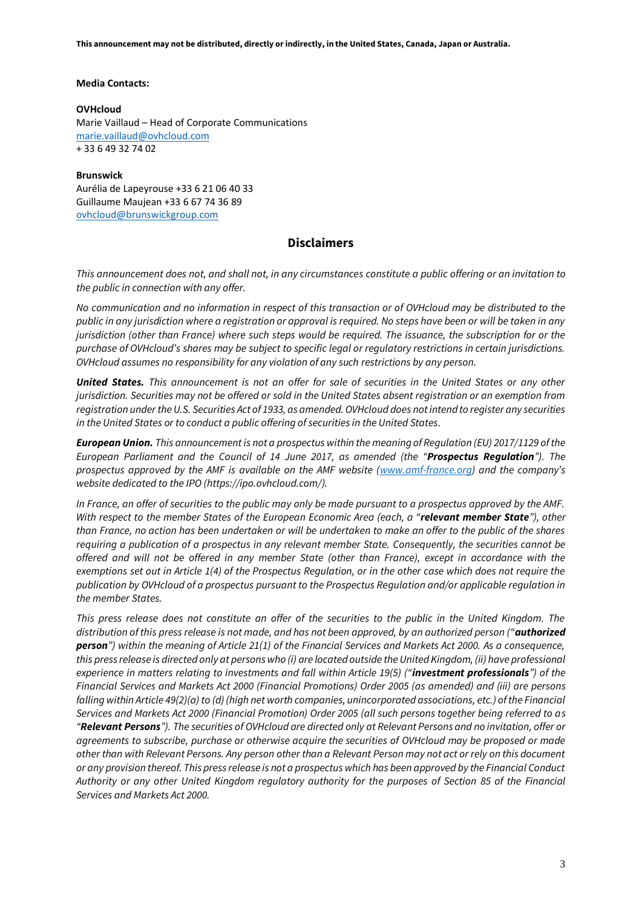**This announcement may not be distributed, directly or indirectly, in the United States, Canada, Japan or Australia.**

#### **Media Contacts:**

#### **OVHcloud**

Marie Vaillaud – Head of Corporate Communications [marie.vaillaud@ovhcloud.com](mailto:marie.vaillaud@ovhcloud.com)  + 33 6 49 32 74 02

#### **Brunswick**

Aurélia de Lapeyrouse +33 6 21 06 40 33 Guillaume Maujean +33 6 67 74 36 89 [ovhcloud@brunswickgroup.com](mailto:ovhcloud@brunswickgroup.com)

### **Disclaimers**

*This announcement does not, and shall not, in any circumstances constitute a public offering or an invitation to the public in connection with any offer.*

*No communication and no information in respect of this transaction or of OVHcloud may be distributed to the public in any jurisdiction where a registration or approval is required. No steps have been or will be taken in any jurisdiction (other than France) where such steps would be required. The issuance, the subscription for or the purchase of OVHcloud's shares may be subject to specific legal or regulatory restrictions in certain jurisdictions. OVHcloud assumes no responsibility for any violation of any such restrictions by any person.*

*United States. This announcement is not an offer for sale of securities in the United States or any other jurisdiction. Securities may not be offered or sold in the United States absent registration or an exemption from registration under the U.S. Securities Act of 1933, as amended. OVHcloud does not intend to register any securities in the United States or to conduct a public offering of securities in the United States.*

*European Union. This announcement is not a prospectus within the meaning of Regulation (EU) 2017/1129 of the European Parliament and the Council of 14 June 2017, as amended (the "Prospectus Regulation"). The prospectus approved by the AMF is available on the AMF website [\(www.amf-france.org](http://www.amf-france.org/)) and the company's website dedicated to the IPO (https://ipo.ovhcloud.com/).*

In France, an offer of securities to the public may only be made pursuant to a prospectus approved by the AMF. *With respect to the member States of the European Economic Area (each, a "relevant member State"), other than France, no action has been undertaken or will be undertaken to make an offer to the public of the shares requiring a publication of a prospectus in any relevant member State. Consequently, the securities cannot be offered and will not be offered in any member State (other than France), except in accordance with the exemptions set out in Article 1(4) of the Prospectus Regulation, or in the other case which does not require the publication by OVHcloud of a prospectus pursuant to the Prospectus Regulation and/or applicable regulation in the member States.*

*This press release does not constitute an offer of the securities to the public in the United Kingdom. The distribution of this press release is not made, and has not been approved, by an authorized person ("authorized person") within the meaning of Article 21(1) of the Financial Services and Markets Act 2000. As a consequence, this press release is directed only at persons who (i) are located outside the United Kingdom, (ii) have professional experience in matters relating to investments and fall within Article 19(5) ("investment professionals") of the Financial Services and Markets Act 2000 (Financial Promotions) Order 2005 (as amended) and (iii) are persons falling within Article 49(2)(a) to (d) (high net worth companies, unincorporated associations, etc.) of the Financial Services and Markets Act 2000 (Financial Promotion) Order 2005 (all such persons together being referred to as "Relevant Persons"). The securities of OVHcloud are directed only at Relevant Persons and no invitation, offer or agreements to subscribe, purchase or otherwise acquire the securities of OVHcloud may be proposed or made other than with Relevant Persons. Any person other than a Relevant Person may not act or rely on this document or any provision thereof. This press release is not a prospectus which has been approved by the Financial Conduct Authority or any other United Kingdom regulatory authority for the purposes of Section 85 of the Financial Services and Markets Act 2000.*